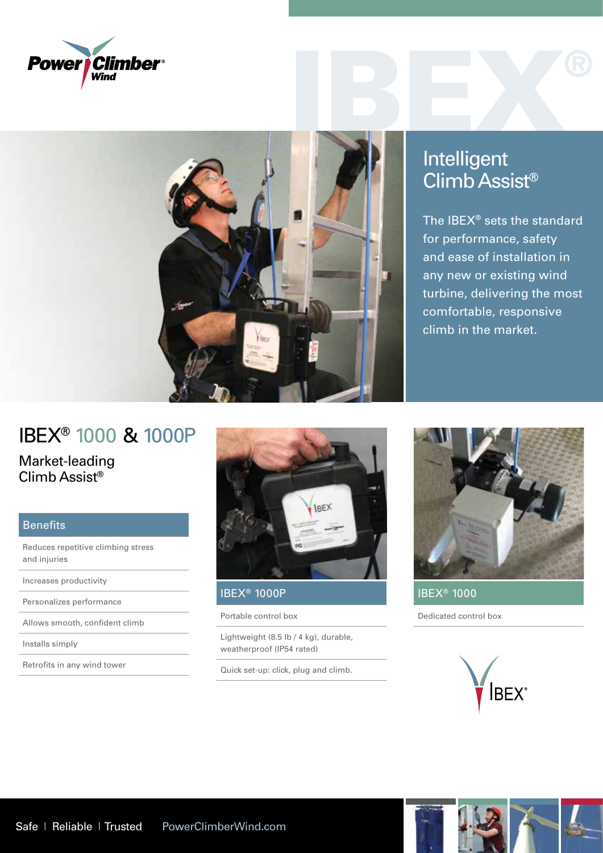



## Intelligent Climb Assist®

The IBEX® sets the standard for performance, safety and ease of installation in any new or existing wind turbine, delivering the most comfortable, responsive climb in the market.

## IBEX® 1000 & 1000P

Market-leading Climb Assist®

## Benefits

Reduces repetitive climbing stress and injuries

Increases productivity

Personalizes performance

Allows smooth, confident climb

Installs simply

Retrofits in any wind tower



## IBEX® 1000P

Portable control box

Lightweight (8.5 lb / 4 kg), durable, weatherproof (IP54 rated)

Quick set-up: click, plug and climb.



IBEX® 1000

Dedicated control box

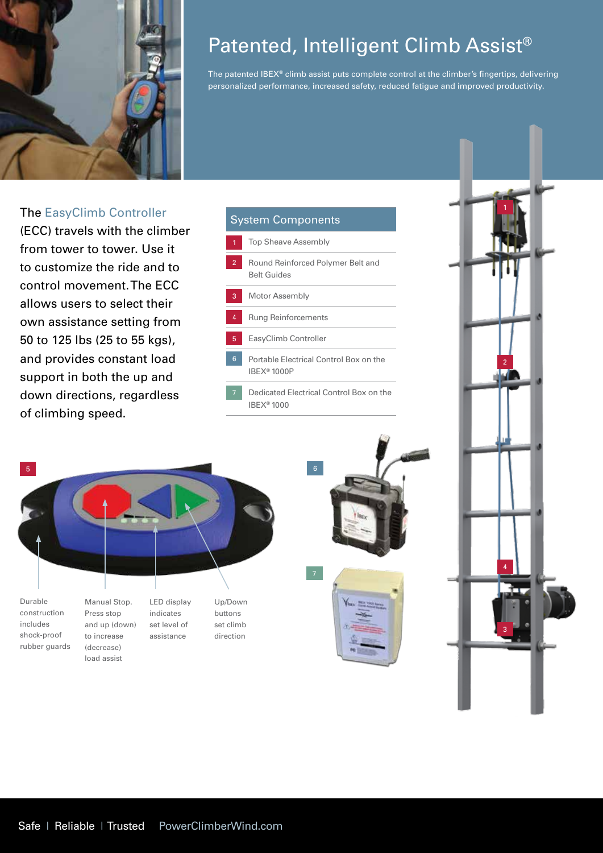

# Patented, Intelligent Climb Assist®

The patented IBEX® climb assist puts complete control at the climber's fingertips, delivering personalized performance, increased safety, reduced fatigue and improved productivity.

### The EasyClimb Controller

(ECC) travels with the climber from tower to tower. Use it to customize the ride and to control movement. The ECC allows users to select their own assistance setting from 50 to 125 lbs (25 to 55 kgs), and provides constant load support in both the up and down directions, regardless of climbing speed.





load assist





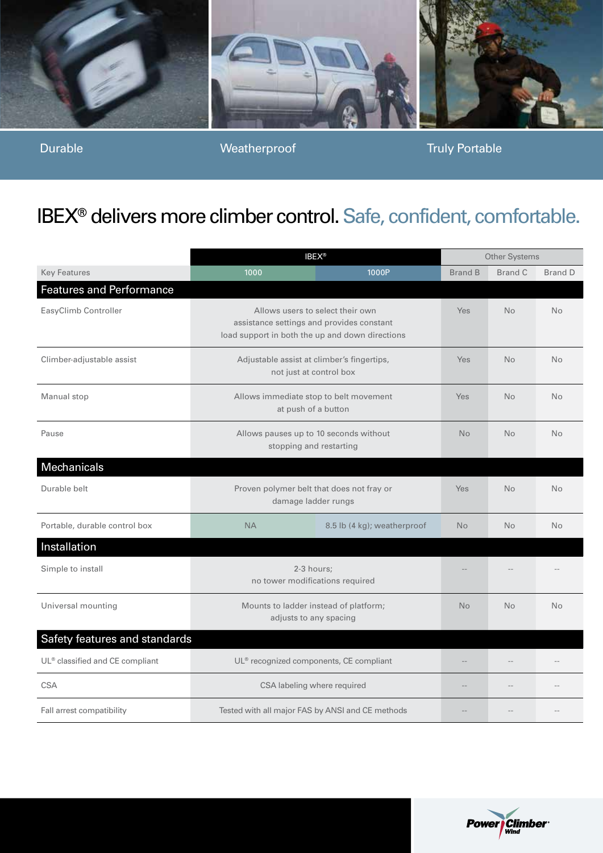

Durable Weatherproof Truly Portable

# IBEX® delivers more climber control. Safe, confident, comfortable.

|                                             | <b>IBEX®</b>                                                                                                                     |                             | Other Systems  |           |                |
|---------------------------------------------|----------------------------------------------------------------------------------------------------------------------------------|-----------------------------|----------------|-----------|----------------|
| <b>Key Features</b>                         | 1000                                                                                                                             | 1000P                       | <b>Brand B</b> | Brand C   | <b>Brand D</b> |
| <b>Features and Performance</b>             |                                                                                                                                  |                             |                |           |                |
| EasyClimb Controller                        | Allows users to select their own<br>assistance settings and provides constant<br>load support in both the up and down directions |                             | Yes            | <b>No</b> | No             |
| Climber-adjustable assist                   | Adjustable assist at climber's fingertips,<br>not just at control box                                                            |                             | Yes            | <b>No</b> | <b>No</b>      |
| Manual stop                                 | Allows immediate stop to belt movement<br>at push of a button                                                                    |                             | Yes            | <b>No</b> | <b>No</b>      |
| Pause                                       | Allows pauses up to 10 seconds without<br>stopping and restarting                                                                |                             | <b>No</b>      | <b>No</b> | <b>No</b>      |
| Mechanicals                                 |                                                                                                                                  |                             |                |           |                |
| Durable belt                                | Proven polymer belt that does not fray or<br>damage ladder rungs                                                                 |                             | <b>Yes</b>     | <b>No</b> | <b>No</b>      |
| Portable, durable control box               | <b>NA</b>                                                                                                                        | 8.5 lb (4 kg); weatherproof | <b>No</b>      | <b>No</b> | <b>No</b>      |
| Installation                                |                                                                                                                                  |                             |                |           |                |
| Simple to install                           | 2-3 hours;<br>no tower modifications required                                                                                    |                             |                |           |                |
| Universal mounting                          | Mounts to ladder instead of platform;<br>adjusts to any spacing                                                                  |                             | <b>No</b>      | <b>No</b> | <b>No</b>      |
| Safety features and standards               |                                                                                                                                  |                             |                |           |                |
| UL <sup>®</sup> classified and CE compliant | UL <sup>®</sup> recognized components, CE compliant                                                                              |                             |                |           |                |
| <b>CSA</b>                                  | CSA labeling where required                                                                                                      |                             | --             |           |                |
| Fall arrest compatibility                   | Tested with all major FAS by ANSI and CE methods                                                                                 |                             |                |           |                |